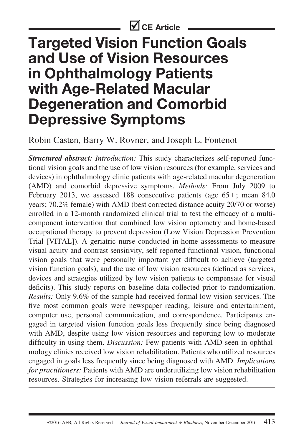# **Targeted Vision Function Goals and Use of Vision Resources in Ophthalmology Patients with Age-Related Macular Degeneration and Comorbid Depressive Symptoms**

## Robin Casten, Barry W. Rovner, and Joseph L. Fontenot

*Structured abstract: Introduction:* This study characterizes self-reported functional vision goals and the use of low vision resources (for example, services and devices) in ophthalmology clinic patients with age-related macular degeneration (AMD) and comorbid depressive symptoms. *Methods:* From July 2009 to February 2013, we assessed 188 consecutive patients (age 65+; mean 84.0) years; 70.2% female) with AMD (best corrected distance acuity 20/70 or worse) enrolled in a 12-month randomized clinical trial to test the efficacy of a multicomponent intervention that combined low vision optometry and home-based occupational therapy to prevent depression (Low Vision Depression Prevention Trial [VITAL]). A geriatric nurse conducted in-home assessments to measure visual acuity and contrast sensitivity, self-reported functional vision, functional vision goals that were personally important yet difficult to achieve (targeted vision function goals), and the use of low vision resources (defined as services, devices and strategies utilized by low vision patients to compensate for visual deficits). This study reports on baseline data collected prior to randomization. *Results:* Only 9.6% of the sample had received formal low vision services. The five most common goals were newspaper reading, leisure and entertainment, computer use, personal communication, and correspondence. Participants engaged in targeted vision function goals less frequently since being diagnosed with AMD, despite using low vision resources and reporting low to moderate difficulty in using them. *Discussion:* Few patients with AMD seen in ophthalmology clinics received low vision rehabilitation. Patients who utilized resources engaged in goals less frequently since being diagnosed with AMD. *Implications for practitioners:* Patients with AMD are underutilizing low vision rehabilitation resources. Strategies for increasing low vision referrals are suggested.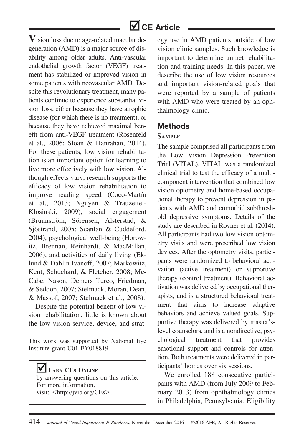

**V**ision loss due to age-related macular degeneration (AMD) is a major source of disability among older adults. Anti-vascular endothelial growth factor (VEGF) treatment has stabilized or improved vision in some patients with neovascular AMD. Despite this revolutionary treatment, many patients continue to experience substantial vision loss, either because they have atrophic disease (for which there is no treatment), or because they have achieved maximal benefit from anti-VEGF treatment (Rosenfeld et al., 2006; Sloan & Hanrahan, 2014). For these patients, low vision rehabilitation is an important option for learning to live more effectively with low vision. Although effects vary, research supports the efficacy of low vision rehabilitation to improve reading speed (Coco-Martín) et al., 2013; Nguyen & Trauzettel-Klosinski, 2009), social engagement (Brunnström, Sörensen, Alsterstad, & Sjöstrand, 2005; Scanlan & Cuddeford, 2004), psychological well-being (Horowitz, Brennan, Reinhardt, & MacMillan, 2006), and activities of daily living (Eklund & Dahlin Ivanoff, 2007; Markowitz, Kent, Schuchard, & Fletcher, 2008; Mc-Cabe, Nason, Demers Turco, Friedman, & Seddon, 2007; Stelmack, Moran, Dean, & Massof, 2007; Stelmack et al., 2008).

Despite the potential benefit of low vision rehabilitation, little is known about the low vision service, device, and strat-

ΙVΙ **EARN CES ONLINE** by answering questions on this article. For more information, visit: <<http://jvib.org/CEs>>.

egy use in AMD patients outside of low vision clinic samples. Such knowledge is important to determine unmet rehabilitation and training needs. In this paper, we describe the use of low vision resources and important vision-related goals that were reported by a sample of patients with AMD who were treated by an ophthalmology clinic.

### **Methods**

#### **SAMPLE**

The sample comprised all participants from the Low Vision Depression Prevention Trial (VITAL). VITAL was a randomized clinical trial to test the efficacy of a multicomponent intervention that combined low vision optometry and home-based occupational therapy to prevent depression in patients with AMD and comorbid subthreshold depressive symptoms. Details of the study are described in Rovner et al. (2014). All participants had two low vision optometry visits and were prescribed low vision devices. After the optometry visits, participants were randomized to behavioral activation (active treatment) or supportive therapy (control treatment). Behavioral activation was delivered by occupational therapists, and is a structured behavioral treatment that aims to increase adaptive behaviors and achieve valued goals. Supportive therapy was delivered by master'slevel counselors, and is a nondirective, psychological treatment that provides emotional support and controls for attention. Both treatments were delivered in participants' homes over six sessions.

We enrolled 188 consecutive participants with AMD (from July 2009 to February 2013) from ophthalmology clinics in Philadelphia, Pennsylvania. Eligibility

This work was supported by National Eye Institute grant U01 EY018819.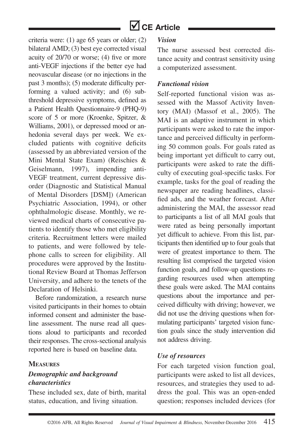criteria were: (1) age 65 years or older; (2) bilateral AMD; (3) best eye corrected visual acuity of 20/70 or worse; (4) five or more anti-VEGF injections if the better eye had neovascular disease (or no injections in the past 3 months); (5) moderate difficulty performing a valued activity; and (6) subthreshold depressive symptoms, defined as a Patient Health Questionnaire-9 (PHQ-9) score of 5 or more (Kroenke, Spitzer, & Williams, 2001), or depressed mood or anhedonia several days per week. We excluded patients with cognitive deficits (assessed by an abbreviated version of the Mini Mental State Exam) (Reischies & Geiselmann, 1997), impending anti-VEGF treatment, current depressive disorder (Diagnostic and Statistical Manual of Mental Disorders [DSM]) (American Psychiatric Association, 1994), or other ophthalmologic disease. Monthly, we reviewed medical charts of consecutive patients to identify those who met eligibility criteria. Recruitment letters were mailed to patients, and were followed by telephone calls to screen for eligibility. All procedures were approved by the Institutional Review Board at Thomas Jefferson University, and adhere to the tenets of the Declaration of Helsinki.

Before randomization, a research nurse visited participants in their homes to obtain informed consent and administer the baseline assessment. The nurse read all questions aloud to participants and recorded their responses. The cross-sectional analysis reported here is based on baseline data.

#### **MEASURES**

### *Demographic and background characteristics*

These included sex, date of birth, marital status, education, and living situation.

#### *Vision*

The nurse assessed best corrected distance acuity and contrast sensitivity using a computerized assessment.

#### *Functional vision*

Self-reported functional vision was assessed with the Massof Activity Inventory (MAI) (Massof et al., 2005). The MAI is an adaptive instrument in which participants were asked to rate the importance and perceived difficulty in performing 50 common goals. For goals rated as being important yet difficult to carry out, participants were asked to rate the difficulty of executing goal-specific tasks. For example, tasks for the goal of reading the newspaper are reading headlines, classified ads, and the weather forecast. After administering the MAI, the assessor read to participants a list of all MAI goals that were rated as being personally important yet difficult to achieve. From this list, participants then identified up to four goals that were of greatest importance to them. The resulting list comprised the targeted vision function goals, and follow-up questions regarding resources used when attempting these goals were asked. The MAI contains questions about the importance and perceived difficulty with driving; however, we did not use the driving questions when formulating participants' targeted vision function goals since the study intervention did not address driving.

#### *Use of resources*

For each targeted vision function goal, participants were asked to list all devices, resources, and strategies they used to address the goal. This was an open-ended question; responses included devices (for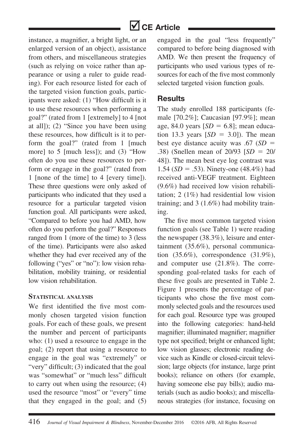instance, a magnifier, a bright light, or an enlarged version of an object), assistance from others, and miscellaneous strategies (such as relying on voice rather than appearance or using a ruler to guide reading). For each resource listed for each of the targeted vision function goals, participants were asked: (1) "How difficult is it to use these resources when performing a goal?" (rated from 1 [extremely] to 4 [not at all]); (2) "Since you have been using these resources, how difficult is it to perform the goal?" (rated from 1 [much more] to 5 [much less]); and (3) "How often do you use these resources to perform or engage in the goal?" (rated from 1 [none of the time] to 4 [every time]). These three questions were only asked of participants who indicated that they used a resource for a particular targeted vision function goal. All participants were asked, "Compared to before you had AMD, how often do you perform the goal?" Responses ranged from 1 (more of the time) to 3 (less of the time). Participants were also asked whether they had ever received any of the following ("yes" or "no"): low vision rehabilitation, mobility training, or residential low vision rehabilitation.

#### **STATISTICAL ANALYSIS**

We first identified the five most commonly chosen targeted vision function goals. For each of these goals, we present the number and percent of participants who: (1) used a resource to engage in the goal; (2) report that using a resource to engage in the goal was "extremely" or "very" difficult; (3) indicated that the goal was "somewhat" or "much less" difficult to carry out when using the resource; (4) used the resource "most" or "every" time that they engaged in the goal; and (5)

engaged in the goal "less frequently" compared to before being diagnosed with AMD. We then present the frequency of participants who used various types of resources for each of the five most commonly selected targeted vision function goals.

### **Results**

The study enrolled 188 participants (female [70.2%]; Caucasian [97.9%]; mean age, 84.0 years  $[SD = 6.8]$ ; mean education 13.3 years  $[SD = 3.0]$ ). The mean best eye distance acuity was .67 (*SD* = .38) (Snellen mean of 20/93 [*SD* = 20/ 48]). The mean best eye log contrast was 1.54 ( $SD = .53$ ). Ninety-one (48.4%) had received anti-VEGF treatment. Eighteen (9.6%) had received low vision rehabilitation; 2 (1%) had residential low vision training; and 3 (1.6%) had mobility training.

The five most common targeted vision function goals (see Table 1) were reading the newspaper (38.3%), leisure and entertainment (35.6%), personal communication (35.6%), correspondence (31.9%), and computer use (21.8%). The corresponding goal-related tasks for each of these five goals are presented in Table 2. Figure 1 presents the percentage of participants who chose the five most commonly selected goals and the resources used for each goal. Resource type was grouped into the following categories: hand-held magnifier; illuminated magnifier; magnifier type not specified; bright or enhanced light; low vision glasses; electronic reading device such as Kindle or closed-circuit television; large objects (for instance, large print books); reliance on others (for example, having someone else pay bills); audio materials (such as audio books); and miscellaneous strategies (for instance, focusing on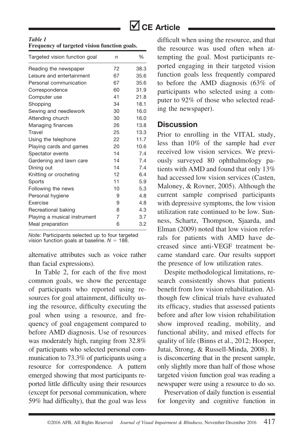

| Table 1                                      |  |  |
|----------------------------------------------|--|--|
| Frequency of targeted vision function goals. |  |  |

| Targeted vision function goal | n  | %    |
|-------------------------------|----|------|
| Reading the newspaper         | 72 | 38.3 |
| Leisure and entertainment     | 67 | 35.6 |
| Personal communication        | 67 | 35.6 |
| Correspondence                | 60 | 31.9 |
| Computer use                  | 41 | 21.8 |
| Shopping                      | 34 | 18.1 |
| Sewing and needlework         | 30 | 16.0 |
| Attending church              | 30 | 16.0 |
| Managing finances             | 26 | 13.8 |
| Travel                        | 25 | 13.3 |
| Using the telephone           | 22 | 11.7 |
| Playing cards and games       | 20 | 10.6 |
| Spectator events              | 14 | 7.4  |
| Gardening and lawn care       | 14 | 7.4  |
| Dining out                    | 14 | 7.4  |
| Knitting or crocheting        | 12 | 6.4  |
| Sports                        | 11 | 5.9  |
| Following the news            | 10 | 5.3  |
| Personal hygiene              | 9  | 4.8  |
| Exercise                      | 9  | 4.8  |
| Recreational baking           | 8  | 4.3  |
| Playing a musical instrument  | 7  | 3.7  |
| Meal preparation              | 6  | 3.2  |

*Note:* Participants selected up to four targeted vision function goals at baseline.  $N = 188$ .

alternative attributes such as voice rather than facial expressions).

In Table 2, for each of the five most common goals, we show the percentage of participants who reported using resources for goal attainment, difficulty using the resource, difficulty executing the goal when using a resource, and frequency of goal engagement compared to before AMD diagnosis. Use of resources was moderately high, ranging from 32.8% of participants who selected personal communication to 73.3% of participants using a resource for correspondence*.* A pattern emerged showing that most participants reported little difficulty using their resources (except for personal communication, where 59% had difficulty), that the goal was less

difficult when using the resource, and that the resource was used often when attempting the goal. Most participants reported engaging in their targeted vision function goals less frequently compared to before the AMD diagnosis (63% of participants who selected using a computer to 92% of those who selected reading the newspaper).

#### **Discussion**

Prior to enrolling in the VITAL study, less than 10% of the sample had ever received low vision services. We previously surveyed 80 ophthalmology patients with AMD and found that only 13% had accessed low vision services (Casten, Maloney, & Rovner, 2005). Although the current sample comprised participants with depressive symptoms, the low vision utilization rate continued to be low. Sunness, Schartz, Thompson, Sjaarda, and Elman (2009) noted that low vision referrals for patients with AMD have decreased since anti-VEGF treatment became standard care. Our results support the presence of low utilization rates.

Despite methodological limitations, research consistently shows that patients benefit from low vision rehabilitation. Although few clinical trials have evaluated its efficacy, studies that assessed patients before and after low vision rehabilitation show improved reading, mobility, and functional ability, and mixed effects for quality of life (Binns et al., 2012; Hooper, Jutai, Strong, & Russell-Minda, 2008). It is disconcerting that in the present sample, only slightly more than half of those whose targeted vision function goal was reading a newspaper were using a resource to do so.

Preservation of daily function is essential for longevity and cognitive function in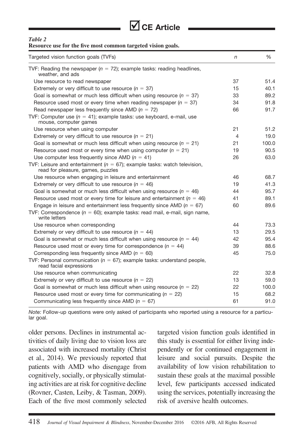

#### *Table 2*

| Resource use for the five most common targeted vision goals.                                                       |            |       |  |  |
|--------------------------------------------------------------------------------------------------------------------|------------|-------|--|--|
| Targeted vision function goals (TVFs)                                                                              | $\sqrt{n}$ | ℅     |  |  |
| TVF: Reading the newspaper ( $n = 72$ ); example tasks: reading headlines,<br>weather, and ads                     |            |       |  |  |
| Use resource to read newspaper                                                                                     | 37         | 51.4  |  |  |
| Extremely or very difficult to use resource ( $n = 37$ )                                                           | 15         | 40.1  |  |  |
| Goal is somewhat or much less difficult when using resource ( $n = 37$ )                                           | 33         | 89.2  |  |  |
| Resource used most or every time when reading newspaper ( $n = 37$ )                                               | 34         | 91.8  |  |  |
| Read newspaper less frequently since AMD ( $n = 72$ )                                                              | 66         | 91.7  |  |  |
| TVF: Computer use ( $n = 41$ ); example tasks: use keyboard, e-mail, use<br>mouse, computer games                  |            |       |  |  |
| Use resource when using computer                                                                                   | 21         | 51.2  |  |  |
| Extremely or very difficult to use resource ( $n = 21$ )                                                           | 4          | 19.0  |  |  |
| Goal is somewhat or much less difficult when using resource ( $n = 21$ )                                           | 21         | 100.0 |  |  |
| Resource used most or every time when using computer ( $n = 21$ )                                                  | 19         | 90.5  |  |  |
| Use computer less frequently since AMD ( $n = 41$ )                                                                | 26         | 63.0  |  |  |
| TVF: Leisure and entertainment ( $n = 67$ ); example tasks: watch television,<br>read for pleasure, games, puzzles |            |       |  |  |
| Use resource when engaging in leisure and entertainment                                                            | 46         | 68.7  |  |  |
| Extremely or very difficult to use resource ( $n = 46$ )                                                           | 19         | 41.3  |  |  |
| Goal is somewhat or much less difficult when using resource ( $n = 46$ )                                           | 44         | 95.7  |  |  |
| Resource used most or every time for leisure and entertainment ( $n = 46$ )                                        | 41         | 89.1  |  |  |
| Engage in leisure and entertainment less frequently since AMD ( $n = 67$ )                                         | 60         | 89.6  |  |  |
| TVF: Correspondence ( $n = 60$ ); example tasks: read mail, e-mail, sign name,<br>write letters                    |            |       |  |  |
| Use resource when corresponding                                                                                    | 44         | 73.3  |  |  |
| Extremely or very difficult to use resource ( $n = 44$ )                                                           | 13         | 29.5  |  |  |
| Goal is somewhat or much less difficult when using resource ( $n = 44$ )                                           | 42         | 95.4  |  |  |
| Resource used most or every time for correspondence ( $n = 44$ )                                                   | 39         | 88.6  |  |  |
| Corresponding less frequently since AMD ( $n = 60$ )                                                               | 45         | 75.0  |  |  |
| TVF: Personal communication ( $n = 67$ ); example tasks: understand people,<br>read facial expressions             |            |       |  |  |
| Use resource when communicating                                                                                    | 22         | 32.8  |  |  |
| Extremely or very difficult to use resource ( $n = 22$ )                                                           | 13         | 59.0  |  |  |
| Goal is somewhat or much less difficult when using resource ( $n = 22$ )                                           | 22         | 100.0 |  |  |
| Resource used most or every time for communicating ( $n = 22$ )                                                    | 15         | 68.2  |  |  |
| Communicating less frequently since AMD ( $n = 67$ )                                                               | 61         | 91.0  |  |  |

*Note:* Follow-up questions were only asked of participants who reported using a resource for a particular goal.

older persons. Declines in instrumental activities of daily living due to vision loss are associated with increased mortality (Christ et al., 2014). We previously reported that patients with AMD who disengage from cognitively, socially, or physically stimulating activities are at risk for cognitive decline (Rovner, Casten, Leiby, & Tasman, 2009). Each of the five most commonly selected

targeted vision function goals identified in this study is essential for either living independently or for continued engagement in leisure and social pursuits. Despite the availability of low vision rehabilitation to sustain these goals at the maximal possible level, few participants accessed indicated using the services, potentially increasing the risk of aversive health outcomes.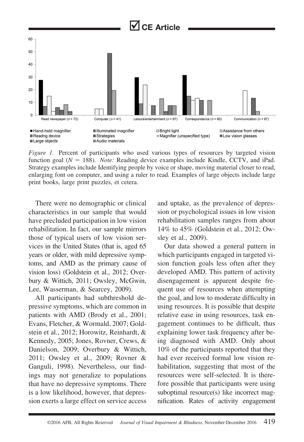

*Figure 1.* Percent of participants who used various types of resources by targeted vision function goal (*N* = 188). *Note:* Reading device examples include Kindle, CCTV, and iPad. Strategy examples include Identifying people by voice or shape, moving material closer to read, enlarging font on computer, and using a ruler to read. Examples of large objects include large print books, large print puzzles, et cetera.

There were no demographic or clinical characteristics in our sample that would have precluded participation in low vision rehabilitation. In fact, our sample mirrors those of typical users of low vision services in the United States (that is, aged 65 years or older, with mild depressive symptoms, and AMD as the primary cause of vision loss) (Goldstein et al., 2012; Overbury & Wittich, 2011; Owsley, McGwin, Lee, Wasserman, & Searcey, 2009).

All participants had subthreshold depressive symptoms, which are common in patients with AMD (Brody et al., 2001; Evans, Fletcher, & Wormald, 2007; Goldstein et al., 2012; Horowitz, Reinhardt, & Kennedy, 2005; Jones, Rovner, Crews, & Danielson, 2009; Overbury & Wittich, 2011; Owsley et al., 2009; Rovner & Ganguli, 1998). Nevertheless, our findings may not generalize to populations that have no depressive symptoms. There is a low likelihood, however, that depression exerts a large effect on service access

and uptake, as the prevalence of depression or psychological issues in low vision rehabilitation samples ranges from about 14% to 45% (Goldstein et al., 2012; Owsley et al., 2009).

Our data showed a general pattern in which participants engaged in targeted vision function goals less often after they developed AMD. This pattern of activity disengagement is apparent despite frequent use of resources when attempting the goal, and low to moderate difficulty in using resources. It is possible that despite relative ease in using resources, task engagement continues to be difficult, thus explaining lower task frequency after being diagnosed with AMD. Only about 10% of the participants reported that they had ever received formal low vision rehabilitation, suggesting that most of the resources were self-selected. It is therefore possible that participants were using suboptimal resource(s) like incorrect magnification. Rates of activity engagement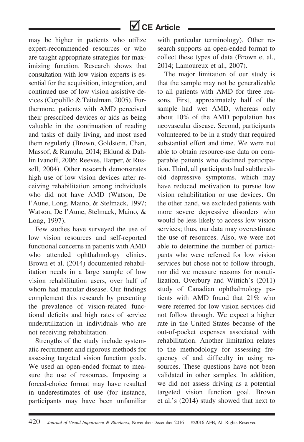may be higher in patients who utilize expert-recommended resources or who are taught appropriate strategies for maximizing function. Research shows that consultation with low vision experts is essential for the acquisition, integration, and continued use of low vision assistive devices (Copolillo & Teitelman, 2005). Furthermore, patients with AMD perceived their prescribed devices or aids as being valuable in the continuation of reading and tasks of daily living, and most used them regularly (Brown, Goldstein, Chan, Massof, & Ramulu, 2014; Eklund & Dahlin Ivanoff, 2006; Reeves, Harper, & Russell, 2004). Other research demonstrates high use of low vision devices after receiving rehabilitation among individuals who did not have AMD (Watson, De l'Aune, Long, Maino, & Stelmack, 1997; Watson, De l'Aune, Stelmack, Maino, & Long, 1997).

Few studies have surveyed the use of low vision resources and self-reported functional concerns in patients with AMD who attended ophthalmology clinics. Brown et al. (2014) documented rehabilitation needs in a large sample of low vision rehabilitation users, over half of whom had macular disease. Our findings complement this research by presenting the prevalence of vision-related functional deficits and high rates of service underutilization in individuals who are not receiving rehabilitation.

Strengths of the study include systematic recruitment and rigorous methods for assessing targeted vision function goals. We used an open-ended format to measure the use of resources. Imposing a forced-choice format may have resulted in underestimates of use (for instance, participants may have been unfamiliar with particular terminology). Other research supports an open-ended format to collect these types of data (Brown et al., 2014; Lamoureux et al., 2007).

The major limitation of our study is that the sample may not be generalizable to all patients with AMD for three reasons. First, approximately half of the sample had wet AMD, whereas only about 10% of the AMD population has neovascular disease. Second, participants volunteered to be in a study that required substantial effort and time. We were not able to obtain resource-use data on comparable patients who declined participation. Third, all participants had subthreshold depressive symptoms, which may have reduced motivation to pursue low vision rehabilitation or use devices. On the other hand, we excluded patients with more severe depressive disorders who would be less likely to access low vision services; thus, our data may overestimate the use of resources. Also, we were not able to determine the number of participants who were referred for low vision services but chose not to follow through, nor did we measure reasons for nonutilization. Overbury and Wittich's (2011) study of Canadian ophthalmology patients with AMD found that 21% who were referred for low vision services did not follow through. We expect a higher rate in the United States because of the out-of-pocket expenses associated with rehabilitation. Another limitation relates to the methodology for assessing frequency of and difficulty in using resources. These questions have not been validated in other samples. In addition, we did not assess driving as a potential targeted vision function goal. Brown et al.'s (2014) study showed that next to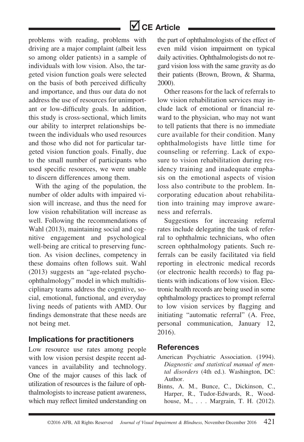problems with reading, problems with driving are a major complaint (albeit less so among older patients) in a sample of individuals with low vision. Also, the targeted vision function goals were selected on the basis of both perceived difficulty and importance, and thus our data do not address the use of resources for unimportant or low-difficulty goals. In addition, this study is cross-sectional, which limits our ability to interpret relationships between the individuals who used resources and those who did not for particular targeted vision function goals. Finally, due to the small number of participants who used specific resources, we were unable to discern differences among them.

With the aging of the population, the number of older adults with impaired vision will increase, and thus the need for low vision rehabilitation will increase as well. Following the recommendations of Wahl (2013), maintaining social and cognitive engagement and psychological well-being are critical to preserving function. As vision declines, competency in these domains often follows suit. Wahl (2013) suggests an "age-related psychoophthalmology" model in which multidisciplinary teams address the cognitive, social, emotional, functional, and everyday living needs of patients with AMD. Our findings demonstrate that these needs are not being met.

### **Implications for practitioners**

Low resource use rates among people with low vision persist despite recent advances in availability and technology. One of the major causes of this lack of utilization of resources is the failure of ophthalmologists to increase patient awareness, which may reflect limited understanding on

the part of ophthalmologists of the effect of even mild vision impairment on typical daily activities. Ophthalmologists do not regard vision loss with the same gravity as do their patients (Brown, Brown, & Sharma, 2000).

Other reasons for the lack of referrals to low vision rehabilitation services may include lack of emotional or financial reward to the physician, who may not want to tell patients that there is no immediate cure available for their condition. Many ophthalmologists have little time for counseling or referring. Lack of exposure to vision rehabilitation during residency training and inadequate emphasis on the emotional aspects of vision loss also contribute to the problem. Incorporating education about rehabilitation into training may improve awareness and referrals.

Suggestions for increasing referral rates include delegating the task of referral to ophthalmic technicians, who often screen ophthalmology patients. Such referrals can be easily facilitated via field reporting in electronic medical records (or electronic health records) to flag patients with indications of low vision. Electronic health records are being used in some ophthalmology practices to prompt referral to low vision services by flagging and initiating "automatic referral" (A. Free, personal communication, January 12, 2016).

### **References**

- American Psychiatric Association. (1994). *Diagnostic and statistical manual of mental disorders* (4th ed.). Washington, DC: Author.
- Binns, A. M., Bunce, C., Dickinson, C., Harper, R., Tudor-Edwards, R., Woodhouse, M., . . . Margrain, T. H. (2012).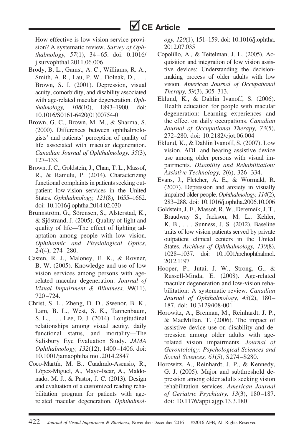

How effective is low vision service provision? A systematic review. *Survey of Ophthalmology, 57*(1), 34 – 65. doi: 0.1016/ j.survophthal.2011.06.006

- Brody, B. L., Gamst, A. C., Williams, R. A., Smith, A. R., Lau, P. W., Dolnak, D.,... Brown, S. I. (2001). Depression, visual acuity, comorbidity, and disability associated with age-related macular degeneration. *Ophthalmology, 108*(10), 1893–1900. doi: 10.1016/S0161-6420(01)00754-0
- Brown, G. C., Brown, M. M., & Sharma, S. (2000). Differences between ophthalmologists' and patients' perception of quality of life associated with macular degeneration. *Canadian Journal of Ophthalmology, 35*(3), 127–133.
- Brown, J. C., Goldstein, J., Chan, T. L., Massof, R., & Ramulu, P. (2014). Characterizing functional complaints in patients seeking outpatient low-vision services in the United States. *Ophthalmology, 121*(8), 1655–1662. doi: 10.1016/j.ophtha.2014.02.030
- Brunnström, G., Sörensen, S., Alsterstad, K., & Sjöstrand, J. (2005). Quality of light and quality of life—The effect of lighting adaptation among people with low vision. *Ophthalmic and Physiological Optics, 24*(4), 274 –280.
- Casten, R. J., Maloney, E. K., & Rovner, B. W. (2005). Knowledge and use of low vision services among persons with agerelated macular degeneration. *Journal of Visual Impairment & Blindness, 99*(11), 720–724.
- Christ, S. L., Zheng, D. D., Swenor, B. K., Lam, B. L., West, S. K., Tannenbaum, S. L., . . . Lee, D. J. (2014). Longitudinal relationships among visual acuity, daily functional status, and mortality—The Salisbury Eye Evaluation Study. *JAMA Ophthalmology, 132*(12), 1400–1406. doi: 10.1001/jamaophthalmol.2014.2847
- Coco-Martín, M. B., Cuadrado-Asensio, R., López-Miguel, A., Mayo-Iscar, A., Maldonado, M. J., & Pastor, J. C. (2013). Design and evaluation of a customized reading rehabilitation program for patients with agerelated macular degeneration. *Ophthalmol-*

*ogy, 120*(1), 151–159. doi: 10.1016/j.ophtha. 2012.07.035

- Copolillo, A., & Teitelman, J. L. (2005). Acquisition and integration of low vision assistive devices: Understanding the decisionmaking process of older adults with low vision. *American Journal of Occupational Therapy, 59*(3), 305–313.
- Eklund, K., & Dahlin Ivanoff, S. (2006). Health education for people with macular degeneration: Learning experiences and the effect on daily occupations. *Canadian Journal of Occupational Therapy, 73*(5), 272–280. doi: 10.2182/cjot.06.004
- Eklund, K., & Dahlin Ivanoff, S. (2007). Low vision, ADL and hearing assistive device use among older persons with visual impairments. *Disability and Rehabilitation: Assistive Technology, 2*(6), 326 –334.
- Evans, J., Fletcher, A. E., & Wormald, R. (2007). Depression and anxiety in visually impaired older people. *Ophthalmology, 114*(2), 283–288. doi: 10.1016/j.ophtha.2006.10.006
- Goldstein,J. E., Massof, R. W., Deremeik,J. T., Braudway S., Jackson, M. L., Kehler, K. B., . . . Sunness, J. S. (2012). Baseline traits of low vision patients served by private outpatient clinical centers in the United States. *Archives of Ophthalmology, 130*(8), 1028 –1037. doi: 10.1001/archophthalmol. 2012.1197
- Hooper, P., Jutai, J. W., Strong, G., & Russell-Minda, E. (2008). Age-related macular degeneration and low-vision rehabilitation: A systematic review. *Canadian Journal of Ophthalmology, 43*(2), 180– 187. doi: 10.3129/i08-001
- Horowitz, A., Brennan, M., Reinhardt, J. P., & MacMillan, T. (2006). The impact of assistive device use on disability and depression among older adults with agerelated vision impairments. *Journal of Gerontololgy: Psychological Sciences and Social Sciences, 61*(5), S274 –S280.
- Horowitz, A., Reinhardt, J. P., & Kennedy, G. J. (2005). Major and subthreshold depression among older adults seeking vision rehabilitation services. *American Journal of Geriatric Psychiatry, 13*(3), 180–187. doi: 10.1176/appi.ajgp.13.3.180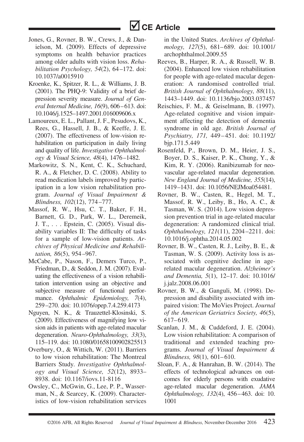- Jones, G., Rovner, B. W., Crews, J., & Danielson, M. (2009). Effects of depressive symptoms on health behavior practices among older adults with vision loss. *Rehabilitation Psychology, 54*(2), 64–172. doi: 10.1037/a0015910
- Kroenke, K., Spitzer, R. L., & Williams, J. B. (2001). The PHQ-9: Validity of a brief depression severity measure. *Journal of General Internal Medicine, 16*(9), 606 – 613. doi: 10.1046/j.1525–1497.2001.016009606.x
- Lamoureux, E. L., Pallant, J. F., Pesudovs, K., Rees, G., Hassell, J. B., & Keeffe, J. E. (2007). The effectiveness of low-vision rehabilitation on participation in daily living and quality of life. *Investigative Ophthalmology & Visual Science, 48*(4), 1476 –1482.
- Markowitz, S. N., Kent, C. K., Schuchard, R. A., & Fletcher, D. C. (2008). Ability to read medication labels improved by participation in a low vision rehabilitation program. *Journal of Visual Impairment & Blindness, 102*(12), 774 –777.
- Massof, R. W., Hsu, C. T., Baker, F. H., Barnett, G. D., Park, W. L., Deremeik, J. T., . . . Epstein, C. (2005). Visual disability variables II: The difficulty of tasks for a sample of low-vision patients. *Archives of Physical Medicine and Rehabilitation, 86*(5), 954–967.
- McCabe, P., Nason, F., Demers Turco, P., Friedman, D., & Seddon, J. M. (2007). Evaluating the effectiveness of a vision rehabilitation intervention using an objective and subjective measure of functional performance. *Ophthalmic Epidemiology, 7*(4), 259 –270. doi: 10.1076/opep.7.4.259.4173
- Nguyen, N. K., & Trauzettel-Klosinski, S. (2009). Effectiveness of magnifying low vision aids in patients with age-related macular degeneration. *Neuro-Ophthalmology, 33*(3), 115–119. doi: 10.1080/01658100902825513
- Overbury, O., & Wittich, W. (2011). Barriers to low vision rehabilitation: The Montreal Barriers Study*. Investigative Ophthalmology and Visual Science, 52*(12), 8933– 8938. doi: 10.1167/iovs.11-8116
- Owsley, C., McGwin, G., Lee, P. P., Wasserman, N., & Searcey, K. (2009). Characteristics of low-vision rehabilitation services

in the United States. *Archives of Ophthalmology, 127*(5), 681– 689. doi: 10.1001/ archophthalmol.2009.55

- Reeves, B., Harper, R. A., & Russell, W. B. (2004). Enhanced low vision rehabilitation for people with age-related macular degeneration: A randomised controlled trial. *British Journal of Ophthalmology, 88*(11), 1443–1449. doi: 10.1136/bjo.2003.037457
- Reischies, F. M., & Geiselmann, B. (1997). Age-related cognitive and vision impairment affecting the detection of dementia syndrome in old age. *British Journal of Psychiatry, 171,* 449–451. doi: 10.1192/ bjp.171.5.449
- Rosenfeld, P., Brown, D. M., Heier, J. S., Boyer, D. S., Kaiser, P. K., Chung, Y., & Kim, R. Y. (2006). Ranibizumab for neovascular age-related macular degeneration. *New England Journal of Medicine, 355*(14), 1419 –1431. doi: 10.1056/NEJMoa054481.
- Rovner, B. W., Casten, R., Hegel, M. T., Massof, R. W., Leiby, B., Ho, A. C., & Tasman, W. S. (2014). Low vision depression prevention trial in age-related macular degeneration: A randomized clinical trial. *Ophthalmology, 121*(11), 2204–2211. doi: 10.1016/j.ophtha.2014.05.002
- Rovner, B. W., Casten, R. J., Leiby, B. E., & Tasman, W. S. (2009). Activity loss is associated with cognitive decline in agerelated macular degeneration. *Alzheimer's and Dementia, 5*(1), 12–17. doi: 10.1016/ j.jalz.2008.06.001
- Rovner, B. W., & Ganguli, M. (1998). Depression and disability associated with impaired vision: The MoVies Project. *Journal of the American Geriatrics Society, 46*(5), 617–619.
- Scanlan, J. M., & Cuddeford, J. E. (2004). Low vision rehabilitation: A comparison of traditional and extended teaching programs. *Journal of Visual Impairment & Blindness*, 98(1), 601–610.
- Sloan, F. A., & Hanrahan, B. W. (2014). The effects of technological advances on outcomes for elderly persons with exudative age-related macular degeneration. *JAMA Ophthalmology, 132*(4), 456 – 463. doi: 10. 1001